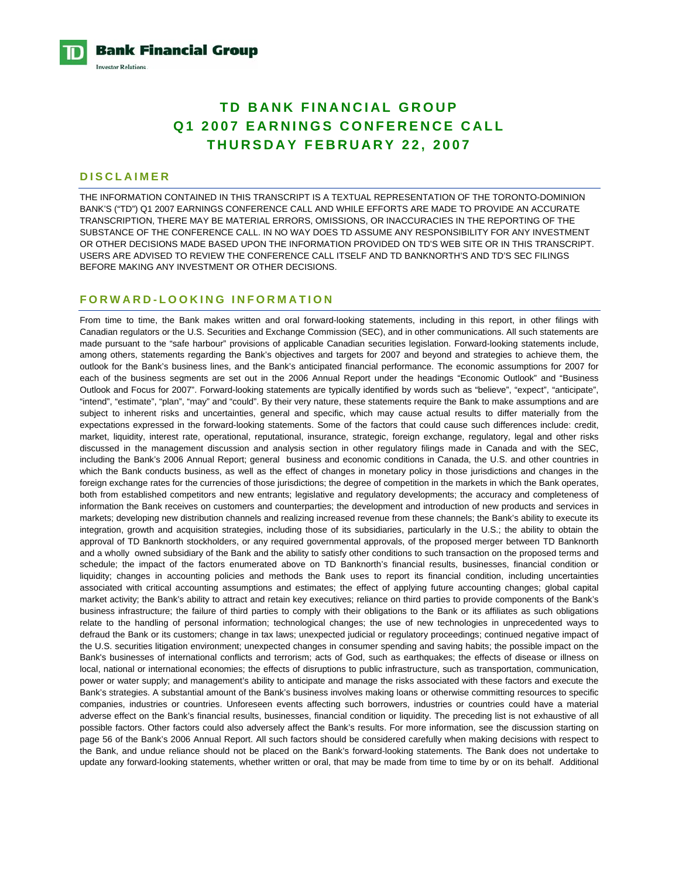

# **TD BANK FINANCIAL GROUP Q1 2007 EARNINGS CONFERENCE CALL THURSDAY FEBRUARY 22, 2007**

# **DISCLAIMER**

THE INFORMATION CONTAINED IN THIS TRANSCRIPT IS A TEXTUAL REPRESENTATION OF THE TORONTO-DOMINION BANK'S ("TD") Q1 2007 EARNINGS CONFERENCE CALL AND WHILE EFFORTS ARE MADE TO PROVIDE AN ACCURATE TRANSCRIPTION, THERE MAY BE MATERIAL ERRORS, OMISSIONS, OR INACCURACIES IN THE REPORTING OF THE SUBSTANCE OF THE CONFERENCE CALL. IN NO WAY DOES TD ASSUME ANY RESPONSIBILITY FOR ANY INVESTMENT OR OTHER DECISIONS MADE BASED UPON THE INFORMATION PROVIDED ON TD'S WEB SITE OR IN THIS TRANSCRIPT. USERS ARE ADVISED TO REVIEW THE CONFERENCE CALL ITSELF AND TD BANKNORTH'S AND TD'S SEC FILINGS BEFORE MAKING ANY INVESTMENT OR OTHER DECISIONS.

# **FORWARD-LOOKING INFORMATION**

From time to time, the Bank makes written and oral forward-looking statements, including in this report, in other filings with Canadian regulators or the U.S. Securities and Exchange Commission (SEC), and in other communications. All such statements are made pursuant to the "safe harbour" provisions of applicable Canadian securities legislation. Forward-looking statements include, among others, statements regarding the Bank's objectives and targets for 2007 and beyond and strategies to achieve them, the outlook for the Bank's business lines, and the Bank's anticipated financial performance. The economic assumptions for 2007 for each of the business segments are set out in the 2006 Annual Report under the headings "Economic Outlook" and "Business Outlook and Focus for 2007". Forward-looking statements are typically identified by words such as "believe", "expect", "anticipate", "intend", "estimate", "plan", "may" and "could". By their very nature, these statements require the Bank to make assumptions and are subject to inherent risks and uncertainties, general and specific, which may cause actual results to differ materially from the expectations expressed in the forward-looking statements. Some of the factors that could cause such differences include: credit, market, liquidity, interest rate, operational, reputational, insurance, strategic, foreign exchange, regulatory, legal and other risks discussed in the management discussion and analysis section in other regulatory filings made in Canada and with the SEC, including the Bank's 2006 Annual Report; general business and economic conditions in Canada, the U.S. and other countries in which the Bank conducts business, as well as the effect of changes in monetary policy in those jurisdictions and changes in the foreign exchange rates for the currencies of those jurisdictions; the degree of competition in the markets in which the Bank operates, both from established competitors and new entrants; legislative and regulatory developments; the accuracy and completeness of information the Bank receives on customers and counterparties; the development and introduction of new products and services in markets; developing new distribution channels and realizing increased revenue from these channels; the Bank's ability to execute its integration, growth and acquisition strategies, including those of its subsidiaries, particularly in the U.S.; the ability to obtain the approval of TD Banknorth stockholders, or any required governmental approvals, of the proposed merger between TD Banknorth and a wholly owned subsidiary of the Bank and the ability to satisfy other conditions to such transaction on the proposed terms and schedule; the impact of the factors enumerated above on TD Banknorth's financial results, businesses, financial condition or liquidity; changes in accounting policies and methods the Bank uses to report its financial condition, including uncertainties associated with critical accounting assumptions and estimates; the effect of applying future accounting changes; global capital market activity; the Bank's ability to attract and retain key executives; reliance on third parties to provide components of the Bank's business infrastructure; the failure of third parties to comply with their obligations to the Bank or its affiliates as such obligations relate to the handling of personal information; technological changes; the use of new technologies in unprecedented ways to defraud the Bank or its customers; change in tax laws; unexpected judicial or regulatory proceedings; continued negative impact of the U.S. securities litigation environment; unexpected changes in consumer spending and saving habits; the possible impact on the Bank's businesses of international conflicts and terrorism; acts of God, such as earthquakes; the effects of disease or illness on local, national or international economies; the effects of disruptions to public infrastructure, such as transportation, communication, power or water supply; and management's ability to anticipate and manage the risks associated with these factors and execute the Bank's strategies. A substantial amount of the Bank's business involves making loans or otherwise committing resources to specific companies, industries or countries. Unforeseen events affecting such borrowers, industries or countries could have a material adverse effect on the Bank's financial results, businesses, financial condition or liquidity. The preceding list is not exhaustive of all possible factors. Other factors could also adversely affect the Bank's results. For more information, see the discussion starting on page 56 of the Bank's 2006 Annual Report. All such factors should be considered carefully when making decisions with respect to the Bank, and undue reliance should not be placed on the Bank's forward-looking statements. The Bank does not undertake to update any forward-looking statements, whether written or oral, that may be made from time to time by or on its behalf. Additional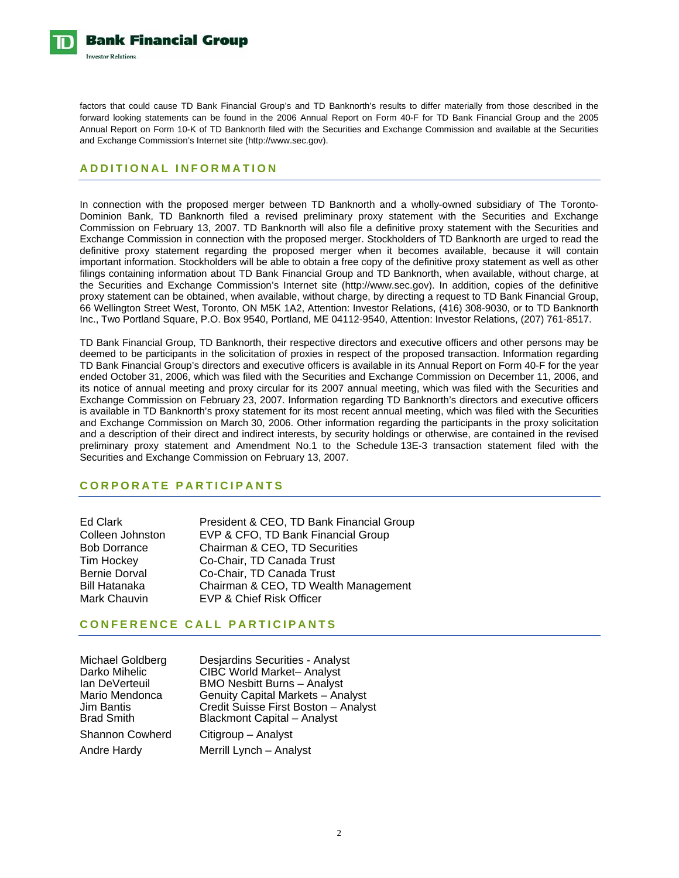

factors that could cause TD Bank Financial Group's and TD Banknorth's results to differ materially from those described in the forward looking statements can be found in the 2006 Annual Report on Form 40-F for TD Bank Financial Group and the 2005 Annual Report on Form 10-K of TD Banknorth filed with the Securities and Exchange Commission and available at the Securities and Exchange Commission's Internet site (http://www.sec.gov).

# **ADDITIONAL INFORMATION**

In connection with the proposed merger between TD Banknorth and a wholly-owned subsidiary of The Toronto-Dominion Bank, TD Banknorth filed a revised preliminary proxy statement with the Securities and Exchange Commission on February 13, 2007. TD Banknorth will also file a definitive proxy statement with the Securities and Exchange Commission in connection with the proposed merger. Stockholders of TD Banknorth are urged to read the definitive proxy statement regarding the proposed merger when it becomes available, because it will contain important information. Stockholders will be able to obtain a free copy of the definitive proxy statement as well as other filings containing information about TD Bank Financial Group and TD Banknorth, when available, without charge, at the Securities and Exchange Commission's Internet site (http://www.sec.gov). In addition, copies of the definitive proxy statement can be obtained, when available, without charge, by directing a request to TD Bank Financial Group, 66 Wellington Street West, Toronto, ON M5K 1A2, Attention: Investor Relations, (416) 308-9030, or to TD Banknorth Inc., Two Portland Square, P.O. Box 9540, Portland, ME 04112-9540, Attention: Investor Relations, (207) 761-8517.

TD Bank Financial Group, TD Banknorth, their respective directors and executive officers and other persons may be deemed to be participants in the solicitation of proxies in respect of the proposed transaction. Information regarding TD Bank Financial Group's directors and executive officers is available in its Annual Report on Form 40-F for the year ended October 31, 2006, which was filed with the Securities and Exchange Commission on December 11, 2006, and its notice of annual meeting and proxy circular for its 2007 annual meeting, which was filed with the Securities and Exchange Commission on February 23, 2007. Information regarding TD Banknorth's directors and executive officers is available in TD Banknorth's proxy statement for its most recent annual meeting, which was filed with the Securities and Exchange Commission on March 30, 2006. Other information regarding the participants in the proxy solicitation and a description of their direct and indirect interests, by security holdings or otherwise, are contained in the revised preliminary proxy statement and Amendment No.1 to the Schedule 13E-3 transaction statement filed with the Securities and Exchange Commission on February 13, 2007.

# **CORPORATE PARTICIPANTS**

| Ed Clark            |
|---------------------|
| Colleen Johnston    |
| <b>Bob Dorrance</b> |
| Tim Hockey          |
| Bernie Dorval       |
| Bill Hatanaka       |
| Mark Chauvin        |

President & CEO, TD Bank Financial Group EVP & CFO, TD Bank Financial Group Chairman & CEO, TD Securities Co-Chair, TD Canada Trust Co-Chair, TD Canada Trust Chairman & CEO, TD Wealth Management EVP & Chief Risk Officer

# **CONFERENCE CALL PARTICIPANTS**

| Michael Goldberg<br>Darko Mihelic<br>lan DeVerteuil<br>Mario Mendonca<br>Jim Bantis | Desjardins Securities - Analyst<br><b>CIBC World Market-Analyst</b><br><b>BMO Nesbitt Burns - Analyst</b><br>Genuity Capital Markets - Analyst<br>Credit Suisse First Boston - Analyst |
|-------------------------------------------------------------------------------------|----------------------------------------------------------------------------------------------------------------------------------------------------------------------------------------|
| Brad Smith                                                                          | <b>Blackmont Capital - Analyst</b>                                                                                                                                                     |
| Shannon Cowherd                                                                     | Citigroup - Analyst                                                                                                                                                                    |
| Andre Hardy                                                                         | Merrill Lynch - Analyst                                                                                                                                                                |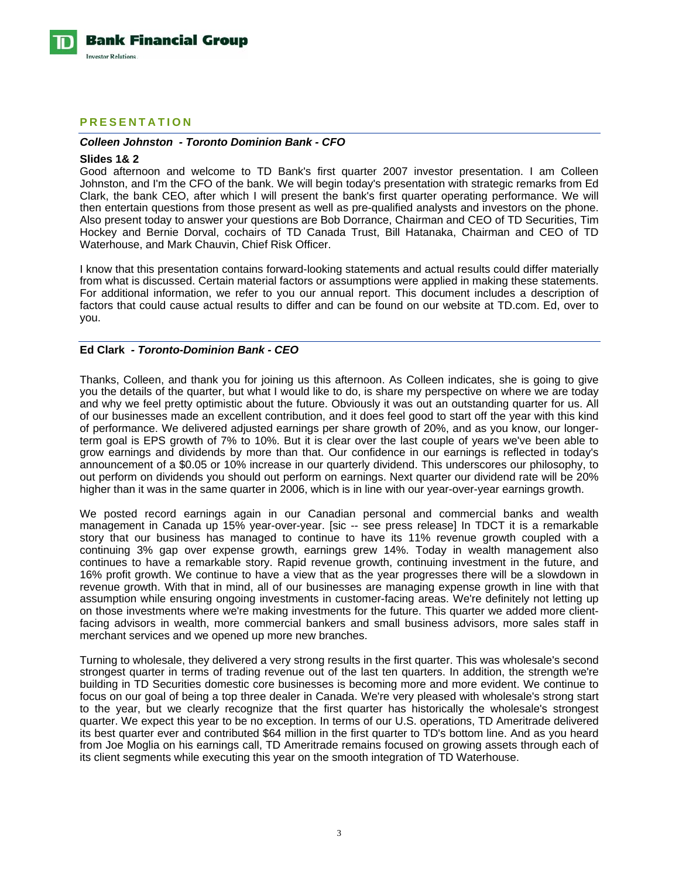

# **PRESENTATION**

#### *Colleen Johnston - Toronto Dominion Bank - CFO*

#### **Slides 1& 2**

Good afternoon and welcome to TD Bank's first quarter 2007 investor presentation. I am Colleen Johnston, and I'm the CFO of the bank. We will begin today's presentation with strategic remarks from Ed Clark, the bank CEO, after which I will present the bank's first quarter operating performance. We will then entertain questions from those present as well as pre-qualified analysts and investors on the phone. Also present today to answer your questions are Bob Dorrance, Chairman and CEO of TD Securities, Tim Hockey and Bernie Dorval, cochairs of TD Canada Trust, Bill Hatanaka, Chairman and CEO of TD Waterhouse, and Mark Chauvin, Chief Risk Officer.

I know that this presentation contains forward-looking statements and actual results could differ materially from what is discussed. Certain material factors or assumptions were applied in making these statements. For additional information, we refer to you our annual report. This document includes a description of factors that could cause actual results to differ and can be found on our website at TD.com. Ed, over to you.

## **Ed Clark** *- Toronto-Dominion Bank - CEO*

Thanks, Colleen, and thank you for joining us this afternoon. As Colleen indicates, she is going to give you the details of the quarter, but what I would like to do, is share my perspective on where we are today and why we feel pretty optimistic about the future. Obviously it was out an outstanding quarter for us. All of our businesses made an excellent contribution, and it does feel good to start off the year with this kind of performance. We delivered adjusted earnings per share growth of 20%, and as you know, our longerterm goal is EPS growth of 7% to 10%. But it is clear over the last couple of years we've been able to grow earnings and dividends by more than that. Our confidence in our earnings is reflected in today's announcement of a \$0.05 or 10% increase in our quarterly dividend. This underscores our philosophy, to out perform on dividends you should out perform on earnings. Next quarter our dividend rate will be 20% higher than it was in the same quarter in 2006, which is in line with our year-over-year earnings growth.

We posted record earnings again in our Canadian personal and commercial banks and wealth management in Canada up 15% year-over-year. [sic -- see press release] In TDCT it is a remarkable story that our business has managed to continue to have its 11% revenue growth coupled with a continuing 3% gap over expense growth, earnings grew 14%. Today in wealth management also continues to have a remarkable story. Rapid revenue growth, continuing investment in the future, and 16% profit growth. We continue to have a view that as the year progresses there will be a slowdown in revenue growth. With that in mind, all of our businesses are managing expense growth in line with that assumption while ensuring ongoing investments in customer-facing areas. We're definitely not letting up on those investments where we're making investments for the future. This quarter we added more clientfacing advisors in wealth, more commercial bankers and small business advisors, more sales staff in merchant services and we opened up more new branches.

Turning to wholesale, they delivered a very strong results in the first quarter. This was wholesale's second strongest quarter in terms of trading revenue out of the last ten quarters. In addition, the strength we're building in TD Securities domestic core businesses is becoming more and more evident. We continue to focus on our goal of being a top three dealer in Canada. We're very pleased with wholesale's strong start to the year, but we clearly recognize that the first quarter has historically the wholesale's strongest quarter. We expect this year to be no exception. In terms of our U.S. operations, TD Ameritrade delivered its best quarter ever and contributed \$64 million in the first quarter to TD's bottom line. And as you heard from Joe Moglia on his earnings call, TD Ameritrade remains focused on growing assets through each of its client segments while executing this year on the smooth integration of TD Waterhouse.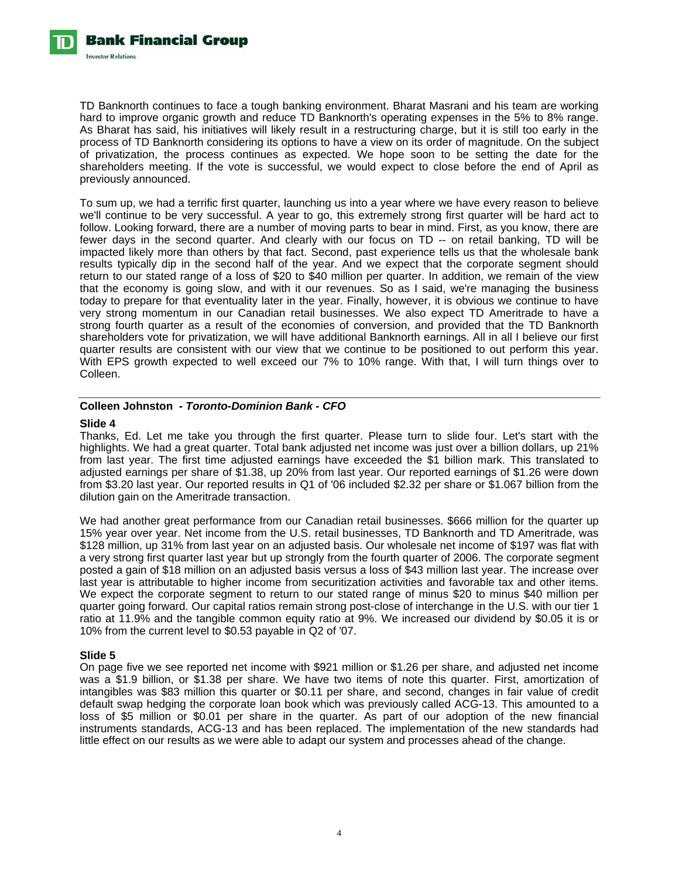TD Banknorth continues to face a tough banking environment. Bharat Masrani and his team are working hard to improve organic growth and reduce TD Banknorth's operating expenses in the 5% to 8% range. As Bharat has said, his initiatives will likely result in a restructuring charge, but it is still too early in the process of TD Banknorth considering its options to have a view on its order of magnitude. On the subject of privatization, the process continues as expected. We hope soon to be setting the date for the shareholders meeting. If the vote is successful, we would expect to close before the end of April as previously announced.

To sum up, we had a terrific first quarter, launching us into a year where we have every reason to believe we'll continue to be very successful. A year to go, this extremely strong first quarter will be hard act to follow. Looking forward, there are a number of moving parts to bear in mind. First, as you know, there are fewer days in the second quarter. And clearly with our focus on TD -- on retail banking, TD will be impacted likely more than others by that fact. Second, past experience tells us that the wholesale bank results typically dip in the second half of the year. And we expect that the corporate segment should return to our stated range of a loss of \$20 to \$40 million per quarter. In addition, we remain of the view that the economy is going slow, and with it our revenues. So as I said, we're managing the business today to prepare for that eventuality later in the year. Finally, however, it is obvious we continue to have very strong momentum in our Canadian retail businesses. We also expect TD Ameritrade to have a strong fourth quarter as a result of the economies of conversion, and provided that the TD Banknorth shareholders vote for privatization, we will have additional Banknorth earnings. All in all I believe our first quarter results are consistent with our view that we continue to be positioned to out perform this year. With EPS growth expected to well exceed our 7% to 10% range. With that, I will turn things over to Colleen.

# **Colleen Johnston** *- Toronto-Dominion Bank - CFO*

## **Slide 4**

Thanks, Ed. Let me take you through the first quarter. Please turn to slide four. Let's start with the highlights. We had a great quarter. Total bank adjusted net income was just over a billion dollars, up 21% from last year. The first time adjusted earnings have exceeded the \$1 billion mark. This translated to adjusted earnings per share of \$1.38, up 20% from last year. Our reported earnings of \$1.26 were down from \$3.20 last year. Our reported results in Q1 of '06 included \$2.32 per share or \$1.067 billion from the dilution gain on the Ameritrade transaction.

We had another great performance from our Canadian retail businesses. \$666 million for the quarter up 15% year over year. Net income from the U.S. retail businesses, TD Banknorth and TD Ameritrade, was \$128 million, up 31% from last year on an adjusted basis. Our wholesale net income of \$197 was flat with a very strong first quarter last year but up strongly from the fourth quarter of 2006. The corporate segment posted a gain of \$18 million on an adjusted basis versus a loss of \$43 million last year. The increase over last year is attributable to higher income from securitization activities and favorable tax and other items. We expect the corporate segment to return to our stated range of minus \$20 to minus \$40 million per quarter going forward. Our capital ratios remain strong post-close of interchange in the U.S. with our tier 1 ratio at 11.9% and the tangible common equity ratio at 9%. We increased our dividend by \$0.05 it is or 10% from the current level to \$0.53 payable in Q2 of '07.

# **Slide 5**

On page five we see reported net income with \$921 million or \$1.26 per share, and adjusted net income was a \$1.9 billion, or \$1.38 per share. We have two items of note this quarter. First, amortization of intangibles was \$83 million this quarter or \$0.11 per share, and second, changes in fair value of credit default swap hedging the corporate loan book which was previously called ACG-13. This amounted to a loss of \$5 million or \$0.01 per share in the quarter. As part of our adoption of the new financial instruments standards, ACG-13 and has been replaced. The implementation of the new standards had little effect on our results as we were able to adapt our system and processes ahead of the change.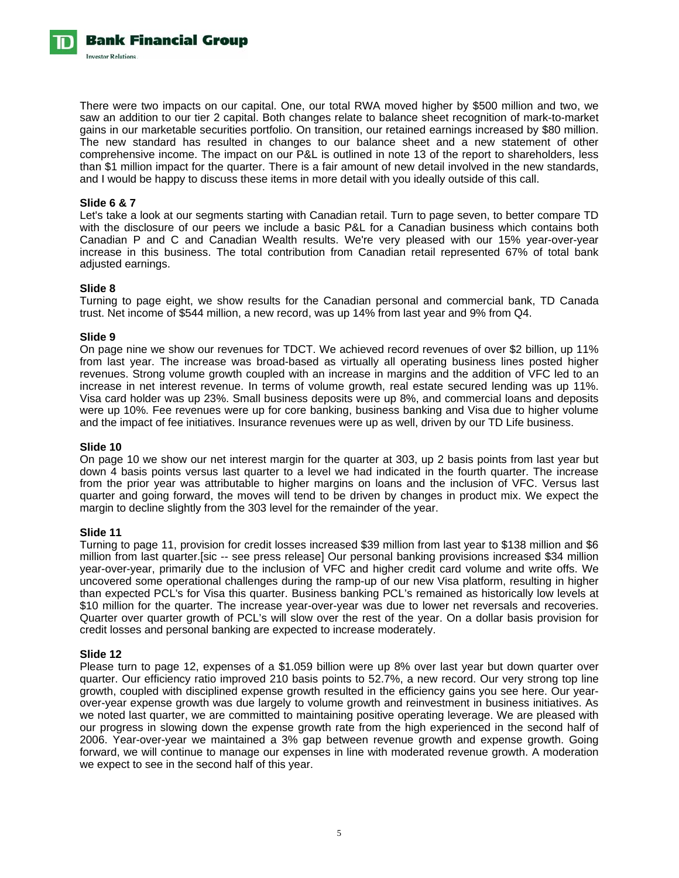Bank Financial Group **Investor Relations** 

> There were two impacts on our capital. One, our total RWA moved higher by \$500 million and two, we saw an addition to our tier 2 capital. Both changes relate to balance sheet recognition of mark-to-market gains in our marketable securities portfolio. On transition, our retained earnings increased by \$80 million. The new standard has resulted in changes to our balance sheet and a new statement of other comprehensive income. The impact on our P&L is outlined in note 13 of the report to shareholders, less than \$1 million impact for the quarter. There is a fair amount of new detail involved in the new standards, and I would be happy to discuss these items in more detail with you ideally outside of this call.

## **Slide 6 & 7**

Let's take a look at our segments starting with Canadian retail. Turn to page seven, to better compare TD with the disclosure of our peers we include a basic P&L for a Canadian business which contains both Canadian P and C and Canadian Wealth results. We're very pleased with our 15% year-over-year increase in this business. The total contribution from Canadian retail represented 67% of total bank adjusted earnings.

#### **Slide 8**

Turning to page eight, we show results for the Canadian personal and commercial bank, TD Canada trust. Net income of \$544 million, a new record, was up 14% from last year and 9% from Q4.

#### **Slide 9**

On page nine we show our revenues for TDCT. We achieved record revenues of over \$2 billion, up 11% from last year. The increase was broad-based as virtually all operating business lines posted higher revenues. Strong volume growth coupled with an increase in margins and the addition of VFC led to an increase in net interest revenue. In terms of volume growth, real estate secured lending was up 11%. Visa card holder was up 23%. Small business deposits were up 8%, and commercial loans and deposits were up 10%. Fee revenues were up for core banking, business banking and Visa due to higher volume and the impact of fee initiatives. Insurance revenues were up as well, driven by our TD Life business.

#### **Slide 10**

On page 10 we show our net interest margin for the quarter at 303, up 2 basis points from last year but down 4 basis points versus last quarter to a level we had indicated in the fourth quarter. The increase from the prior year was attributable to higher margins on loans and the inclusion of VFC. Versus last quarter and going forward, the moves will tend to be driven by changes in product mix. We expect the margin to decline slightly from the 303 level for the remainder of the year.

#### **Slide 11**

Turning to page 11, provision for credit losses increased \$39 million from last year to \$138 million and \$6 million from last quarter.[sic -- see press release] Our personal banking provisions increased \$34 million year-over-year, primarily due to the inclusion of VFC and higher credit card volume and write offs. We uncovered some operational challenges during the ramp-up of our new Visa platform, resulting in higher than expected PCL's for Visa this quarter. Business banking PCL's remained as historically low levels at \$10 million for the quarter. The increase year-over-year was due to lower net reversals and recoveries. Quarter over quarter growth of PCL's will slow over the rest of the year. On a dollar basis provision for credit losses and personal banking are expected to increase moderately.

#### **Slide 12**

Please turn to page 12, expenses of a \$1.059 billion were up 8% over last year but down quarter over quarter. Our efficiency ratio improved 210 basis points to 52.7%, a new record. Our very strong top line growth, coupled with disciplined expense growth resulted in the efficiency gains you see here. Our yearover-year expense growth was due largely to volume growth and reinvestment in business initiatives. As we noted last quarter, we are committed to maintaining positive operating leverage. We are pleased with our progress in slowing down the expense growth rate from the high experienced in the second half of 2006. Year-over-year we maintained a 3% gap between revenue growth and expense growth. Going forward, we will continue to manage our expenses in line with moderated revenue growth. A moderation we expect to see in the second half of this year.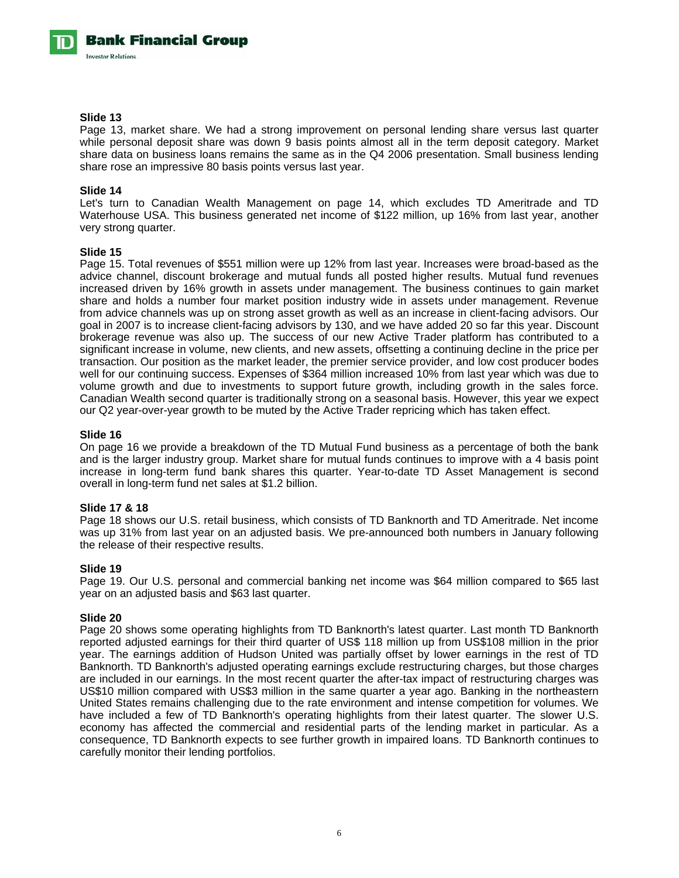#### **Slide 13**

Page 13, market share. We had a strong improvement on personal lending share versus last quarter while personal deposit share was down 9 basis points almost all in the term deposit category. Market share data on business loans remains the same as in the Q4 2006 presentation. Small business lending share rose an impressive 80 basis points versus last year.

#### **Slide 14**

Let's turn to Canadian Wealth Management on page 14, which excludes TD Ameritrade and TD Waterhouse USA. This business generated net income of \$122 million, up 16% from last year, another very strong quarter.

## **Slide 15**

Page 15. Total revenues of \$551 million were up 12% from last year. Increases were broad-based as the advice channel, discount brokerage and mutual funds all posted higher results. Mutual fund revenues increased driven by 16% growth in assets under management. The business continues to gain market share and holds a number four market position industry wide in assets under management. Revenue from advice channels was up on strong asset growth as well as an increase in client-facing advisors. Our goal in 2007 is to increase client-facing advisors by 130, and we have added 20 so far this year. Discount brokerage revenue was also up. The success of our new Active Trader platform has contributed to a significant increase in volume, new clients, and new assets, offsetting a continuing decline in the price per transaction. Our position as the market leader, the premier service provider, and low cost producer bodes well for our continuing success. Expenses of \$364 million increased 10% from last year which was due to volume growth and due to investments to support future growth, including growth in the sales force. Canadian Wealth second quarter is traditionally strong on a seasonal basis. However, this year we expect our Q2 year-over-year growth to be muted by the Active Trader repricing which has taken effect.

# **Slide 16**

On page 16 we provide a breakdown of the TD Mutual Fund business as a percentage of both the bank and is the larger industry group. Market share for mutual funds continues to improve with a 4 basis point increase in long-term fund bank shares this quarter. Year-to-date TD Asset Management is second overall in long-term fund net sales at \$1.2 billion.

# **Slide 17 & 18**

Page 18 shows our U.S. retail business, which consists of TD Banknorth and TD Ameritrade. Net income was up 31% from last year on an adjusted basis. We pre-announced both numbers in January following the release of their respective results.

#### **Slide 19**

Page 19. Our U.S. personal and commercial banking net income was \$64 million compared to \$65 last year on an adjusted basis and \$63 last quarter.

#### **Slide 20**

Page 20 shows some operating highlights from TD Banknorth's latest quarter. Last month TD Banknorth reported adjusted earnings for their third quarter of US\$ 118 million up from US\$108 million in the prior year. The earnings addition of Hudson United was partially offset by lower earnings in the rest of TD Banknorth. TD Banknorth's adjusted operating earnings exclude restructuring charges, but those charges are included in our earnings. In the most recent quarter the after-tax impact of restructuring charges was US\$10 million compared with US\$3 million in the same quarter a year ago. Banking in the northeastern United States remains challenging due to the rate environment and intense competition for volumes. We have included a few of TD Banknorth's operating highlights from their latest quarter. The slower U.S. economy has affected the commercial and residential parts of the lending market in particular. As a consequence, TD Banknorth expects to see further growth in impaired loans. TD Banknorth continues to carefully monitor their lending portfolios.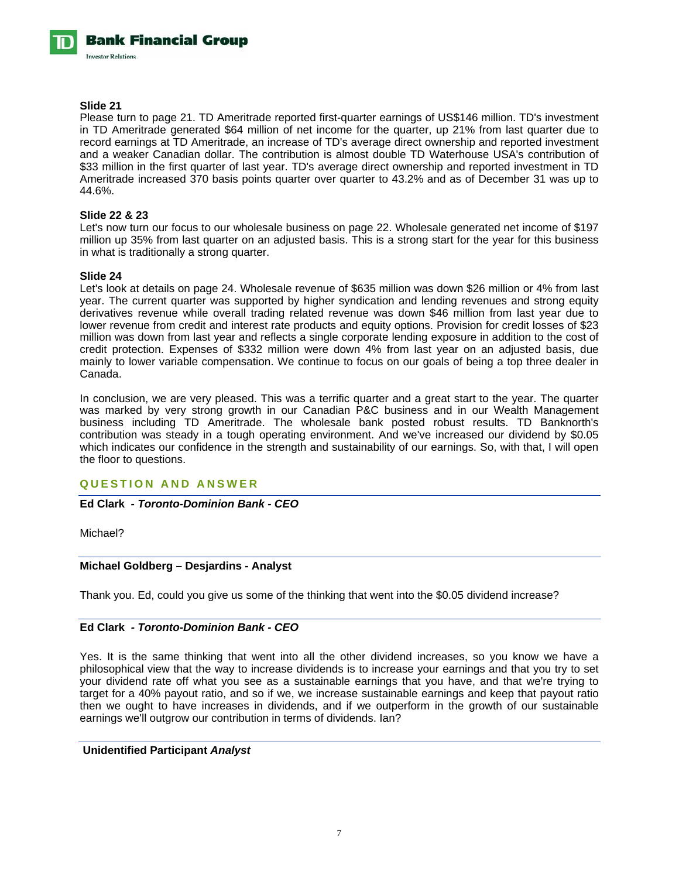#### **Slide 21**

Please turn to page 21. TD Ameritrade reported first-quarter earnings of US\$146 million. TD's investment in TD Ameritrade generated \$64 million of net income for the quarter, up 21% from last quarter due to record earnings at TD Ameritrade, an increase of TD's average direct ownership and reported investment and a weaker Canadian dollar. The contribution is almost double TD Waterhouse USA's contribution of \$33 million in the first quarter of last year. TD's average direct ownership and reported investment in TD Ameritrade increased 370 basis points quarter over quarter to 43.2% and as of December 31 was up to 44.6%.

# **Slide 22 & 23**

Let's now turn our focus to our wholesale business on page 22. Wholesale generated net income of \$197 million up 35% from last quarter on an adjusted basis. This is a strong start for the year for this business in what is traditionally a strong quarter.

#### **Slide 24**

Let's look at details on page 24. Wholesale revenue of \$635 million was down \$26 million or 4% from last year. The current quarter was supported by higher syndication and lending revenues and strong equity derivatives revenue while overall trading related revenue was down \$46 million from last year due to lower revenue from credit and interest rate products and equity options. Provision for credit losses of \$23 million was down from last year and reflects a single corporate lending exposure in addition to the cost of credit protection. Expenses of \$332 million were down 4% from last year on an adjusted basis, due mainly to lower variable compensation. We continue to focus on our goals of being a top three dealer in Canada.

In conclusion, we are very pleased. This was a terrific quarter and a great start to the year. The quarter was marked by very strong growth in our Canadian P&C business and in our Wealth Management business including TD Ameritrade. The wholesale bank posted robust results. TD Banknorth's contribution was steady in a tough operating environment. And we've increased our dividend by \$0.05 which indicates our confidence in the strength and sustainability of our earnings. So, with that, I will open the floor to questions.

# **QUESTION AND ANSWER**

# **Ed Clark** *- Toronto-Dominion Bank - CEO*

Michael?

# **Michael Goldberg – Desjardins - Analyst**

Thank you. Ed, could you give us some of the thinking that went into the \$0.05 dividend increase?

# **Ed Clark** *- Toronto-Dominion Bank - CEO*

Yes. It is the same thinking that went into all the other dividend increases, so you know we have a philosophical view that the way to increase dividends is to increase your earnings and that you try to set your dividend rate off what you see as a sustainable earnings that you have, and that we're trying to target for a 40% payout ratio, and so if we, we increase sustainable earnings and keep that payout ratio then we ought to have increases in dividends, and if we outperform in the growth of our sustainable earnings we'll outgrow our contribution in terms of dividends. Ian?

## **Unidentified Participant** *Analyst*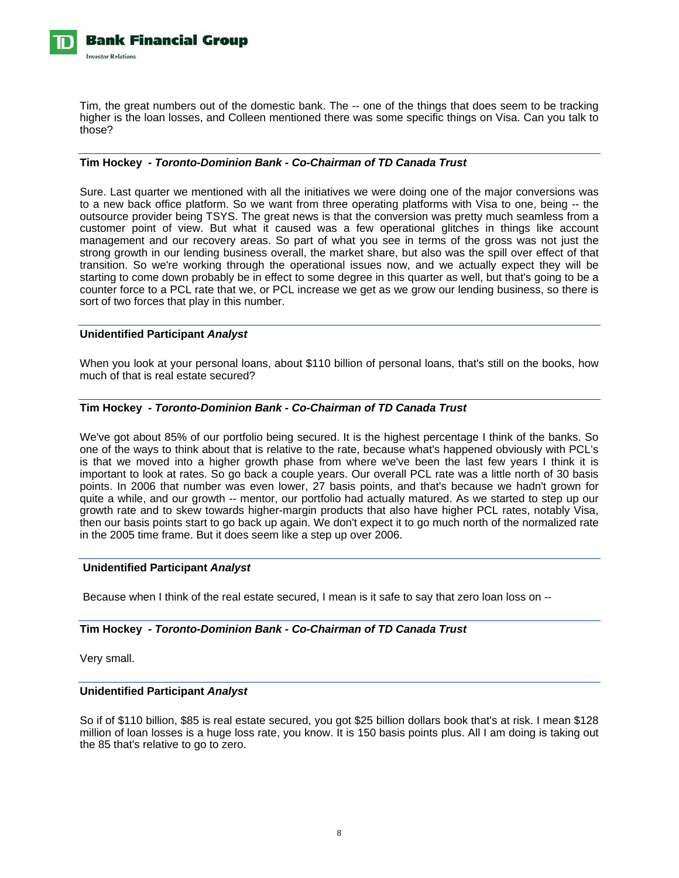

Tim, the great numbers out of the domestic bank. The -- one of the things that does seem to be tracking higher is the loan losses, and Colleen mentioned there was some specific things on Visa. Can you talk to those?

# **Tim Hockey** *- Toronto-Dominion Bank - Co-Chairman of TD Canada Trust*

Sure. Last quarter we mentioned with all the initiatives we were doing one of the major conversions was to a new back office platform. So we want from three operating platforms with Visa to one, being -- the outsource provider being TSYS. The great news is that the conversion was pretty much seamless from a customer point of view. But what it caused was a few operational glitches in things like account management and our recovery areas. So part of what you see in terms of the gross was not just the strong growth in our lending business overall, the market share, but also was the spill over effect of that transition. So we're working through the operational issues now, and we actually expect they will be starting to come down probably be in effect to some degree in this quarter as well, but that's going to be a counter force to a PCL rate that we, or PCL increase we get as we grow our lending business, so there is sort of two forces that play in this number.

#### **Unidentified Participant** *Analyst*

When you look at your personal loans, about \$110 billion of personal loans, that's still on the books, how much of that is real estate secured?

## **Tim Hockey** *- Toronto-Dominion Bank - Co-Chairman of TD Canada Trust*

We've got about 85% of our portfolio being secured. It is the highest percentage I think of the banks. So one of the ways to think about that is relative to the rate, because what's happened obviously with PCL's is that we moved into a higher growth phase from where we've been the last few years I think it is important to look at rates. So go back a couple years. Our overall PCL rate was a little north of 30 basis points. In 2006 that number was even lower, 27 basis points, and that's because we hadn't grown for quite a while, and our growth -- mentor, our portfolio had actually matured. As we started to step up our growth rate and to skew towards higher-margin products that also have higher PCL rates, notably Visa, then our basis points start to go back up again. We don't expect it to go much north of the normalized rate in the 2005 time frame. But it does seem like a step up over 2006.

#### **Unidentified Participant** *Analyst*

Because when I think of the real estate secured, I mean is it safe to say that zero loan loss on --

# **Tim Hockey** *- Toronto-Dominion Bank - Co-Chairman of TD Canada Trust*

Very small.

### **Unidentified Participant** *Analyst*

So if of \$110 billion, \$85 is real estate secured, you got \$25 billion dollars book that's at risk. I mean \$128 million of loan losses is a huge loss rate, you know. It is 150 basis points plus. All I am doing is taking out the 85 that's relative to go to zero.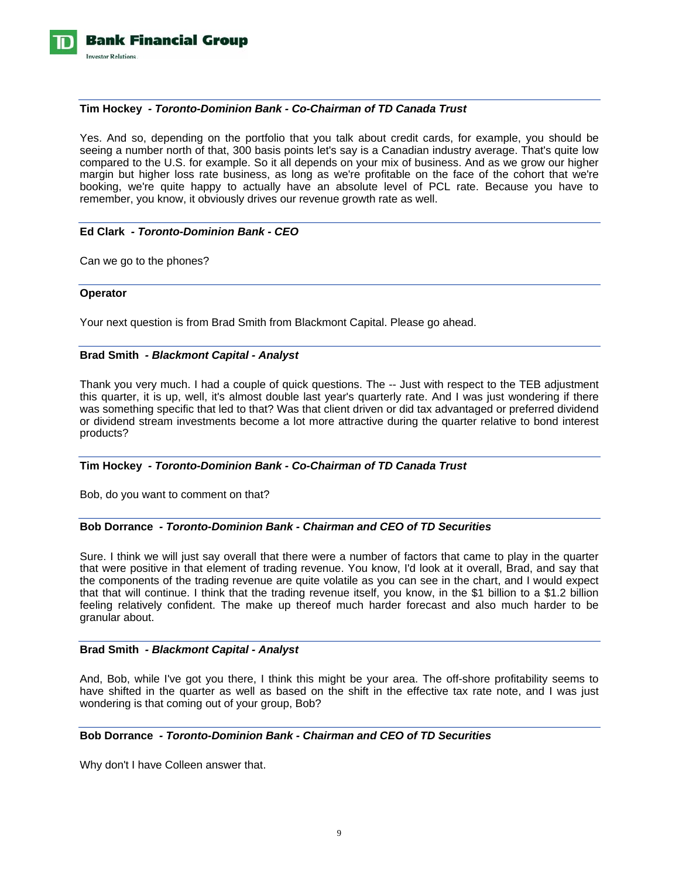

## **Tim Hockey** *- Toronto-Dominion Bank - Co-Chairman of TD Canada Trust*

Yes. And so, depending on the portfolio that you talk about credit cards, for example, you should be seeing a number north of that, 300 basis points let's say is a Canadian industry average. That's quite low compared to the U.S. for example. So it all depends on your mix of business. And as we grow our higher margin but higher loss rate business, as long as we're profitable on the face of the cohort that we're booking, we're quite happy to actually have an absolute level of PCL rate. Because you have to remember, you know, it obviously drives our revenue growth rate as well.

# **Ed Clark** *- Toronto-Dominion Bank - CEO*

Can we go to the phones?

#### **Operator**

Your next question is from Brad Smith from Blackmont Capital. Please go ahead.

## **Brad Smith** *- Blackmont Capital - Analyst*

Thank you very much. I had a couple of quick questions. The -- Just with respect to the TEB adjustment this quarter, it is up, well, it's almost double last year's quarterly rate. And I was just wondering if there was something specific that led to that? Was that client driven or did tax advantaged or preferred dividend or dividend stream investments become a lot more attractive during the quarter relative to bond interest products?

# **Tim Hockey** *- Toronto-Dominion Bank - Co-Chairman of TD Canada Trust*

Bob, do you want to comment on that?

# **Bob Dorrance** *- Toronto-Dominion Bank - Chairman and CEO of TD Securities*

Sure. I think we will just say overall that there were a number of factors that came to play in the quarter that were positive in that element of trading revenue. You know, I'd look at it overall, Brad, and say that the components of the trading revenue are quite volatile as you can see in the chart, and I would expect that that will continue. I think that the trading revenue itself, you know, in the \$1 billion to a \$1.2 billion feeling relatively confident. The make up thereof much harder forecast and also much harder to be granular about.

# **Brad Smith** *- Blackmont Capital - Analyst*

And, Bob, while I've got you there, I think this might be your area. The off-shore profitability seems to have shifted in the quarter as well as based on the shift in the effective tax rate note, and I was just wondering is that coming out of your group, Bob?

## **Bob Dorrance** *- Toronto-Dominion Bank - Chairman and CEO of TD Securities*

Why don't I have Colleen answer that.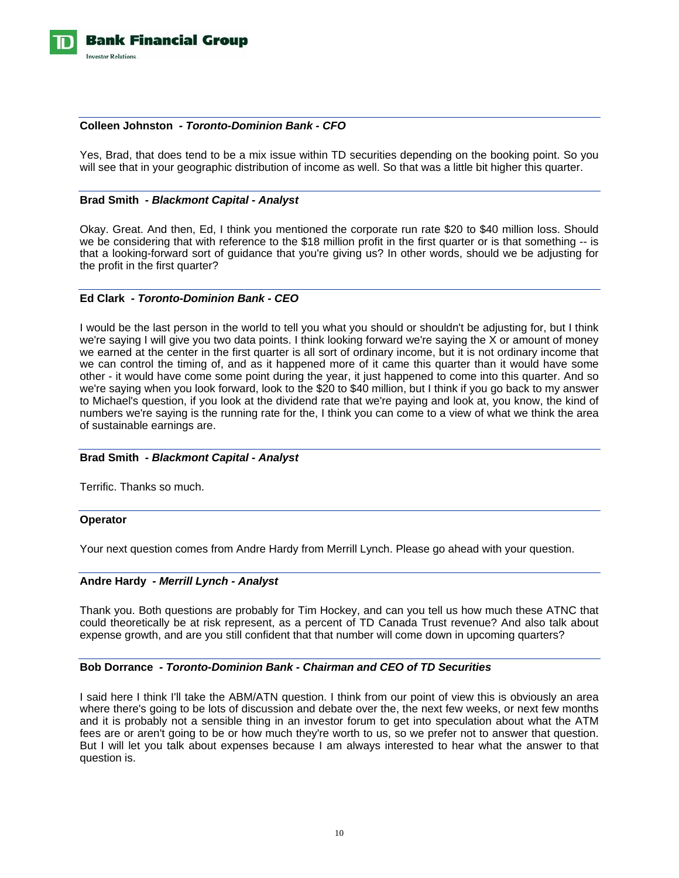

# **Colleen Johnston** *- Toronto-Dominion Bank - CFO*

Yes, Brad, that does tend to be a mix issue within TD securities depending on the booking point. So you will see that in your geographic distribution of income as well. So that was a little bit higher this quarter.

#### **Brad Smith** *- Blackmont Capital - Analyst*

Okay. Great. And then, Ed, I think you mentioned the corporate run rate \$20 to \$40 million loss. Should we be considering that with reference to the \$18 million profit in the first quarter or is that something -- is that a looking-forward sort of guidance that you're giving us? In other words, should we be adjusting for the profit in the first quarter?

#### **Ed Clark** *- Toronto-Dominion Bank - CEO*

I would be the last person in the world to tell you what you should or shouldn't be adjusting for, but I think we're saying I will give you two data points. I think looking forward we're saying the X or amount of money we earned at the center in the first quarter is all sort of ordinary income, but it is not ordinary income that we can control the timing of, and as it happened more of it came this quarter than it would have some other - it would have come some point during the year, it just happened to come into this quarter. And so we're saying when you look forward, look to the \$20 to \$40 million, but I think if you go back to my answer to Michael's question, if you look at the dividend rate that we're paying and look at, you know, the kind of numbers we're saying is the running rate for the, I think you can come to a view of what we think the area of sustainable earnings are.

#### **Brad Smith** *- Blackmont Capital - Analyst*

Terrific. Thanks so much.

#### **Operator**

Your next question comes from Andre Hardy from Merrill Lynch. Please go ahead with your question.

#### **Andre Hardy** *- Merrill Lynch - Analyst*

Thank you. Both questions are probably for Tim Hockey, and can you tell us how much these ATNC that could theoretically be at risk represent, as a percent of TD Canada Trust revenue? And also talk about expense growth, and are you still confident that that number will come down in upcoming quarters?

#### **Bob Dorrance** *- Toronto-Dominion Bank - Chairman and CEO of TD Securities*

I said here I think I'll take the ABM/ATN question. I think from our point of view this is obviously an area where there's going to be lots of discussion and debate over the, the next few weeks, or next few months and it is probably not a sensible thing in an investor forum to get into speculation about what the ATM fees are or aren't going to be or how much they're worth to us, so we prefer not to answer that question. But I will let you talk about expenses because I am always interested to hear what the answer to that question is.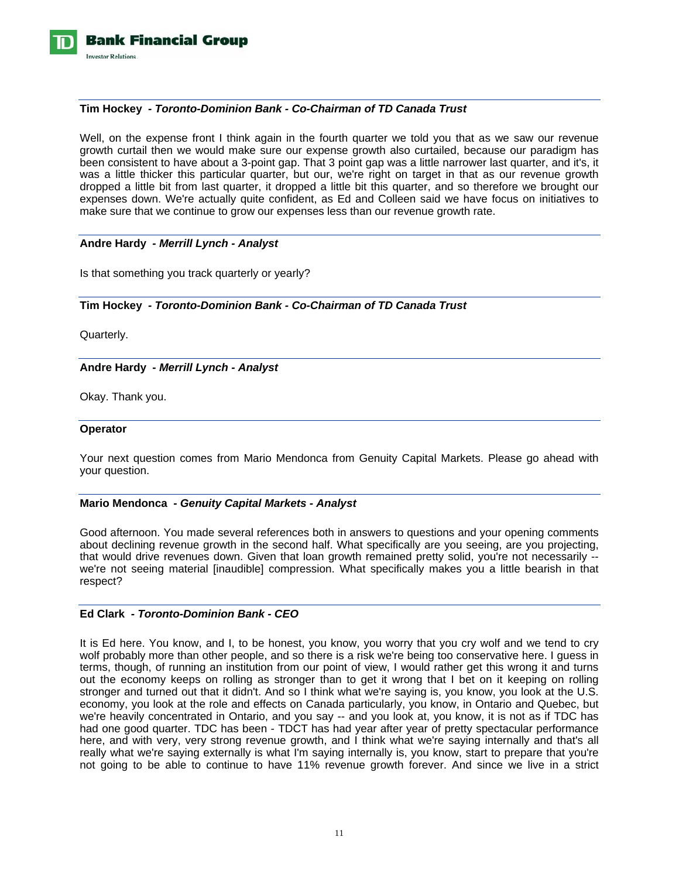

## **Tim Hockey** *- Toronto-Dominion Bank - Co-Chairman of TD Canada Trust*

Well, on the expense front I think again in the fourth quarter we told you that as we saw our revenue growth curtail then we would make sure our expense growth also curtailed, because our paradigm has been consistent to have about a 3-point gap. That 3 point gap was a little narrower last quarter, and it's, it was a little thicker this particular quarter, but our, we're right on target in that as our revenue growth dropped a little bit from last quarter, it dropped a little bit this quarter, and so therefore we brought our expenses down. We're actually quite confident, as Ed and Colleen said we have focus on initiatives to make sure that we continue to grow our expenses less than our revenue growth rate.

## **Andre Hardy** *- Merrill Lynch - Analyst*

Is that something you track quarterly or yearly?

## **Tim Hockey** *- Toronto-Dominion Bank - Co-Chairman of TD Canada Trust*

Quarterly.

**Andre Hardy** *- Merrill Lynch - Analyst* 

Okay. Thank you.

#### **Operator**

Your next question comes from Mario Mendonca from Genuity Capital Markets. Please go ahead with your question.

#### **Mario Mendonca** *- Genuity Capital Markets - Analyst*

Good afternoon. You made several references both in answers to questions and your opening comments about declining revenue growth in the second half. What specifically are you seeing, are you projecting, that would drive revenues down. Given that loan growth remained pretty solid, you're not necessarily - we're not seeing material [inaudible] compression. What specifically makes you a little bearish in that respect?

#### **Ed Clark** *- Toronto-Dominion Bank - CEO*

It is Ed here. You know, and I, to be honest, you know, you worry that you cry wolf and we tend to cry wolf probably more than other people, and so there is a risk we're being too conservative here. I guess in terms, though, of running an institution from our point of view, I would rather get this wrong it and turns out the economy keeps on rolling as stronger than to get it wrong that I bet on it keeping on rolling stronger and turned out that it didn't. And so I think what we're saying is, you know, you look at the U.S. economy, you look at the role and effects on Canada particularly, you know, in Ontario and Quebec, but we're heavily concentrated in Ontario, and you say -- and you look at, you know, it is not as if TDC has had one good quarter. TDC has been - TDCT has had year after year of pretty spectacular performance here, and with very, very strong revenue growth, and I think what we're saying internally and that's all really what we're saying externally is what I'm saying internally is, you know, start to prepare that you're not going to be able to continue to have 11% revenue growth forever. And since we live in a strict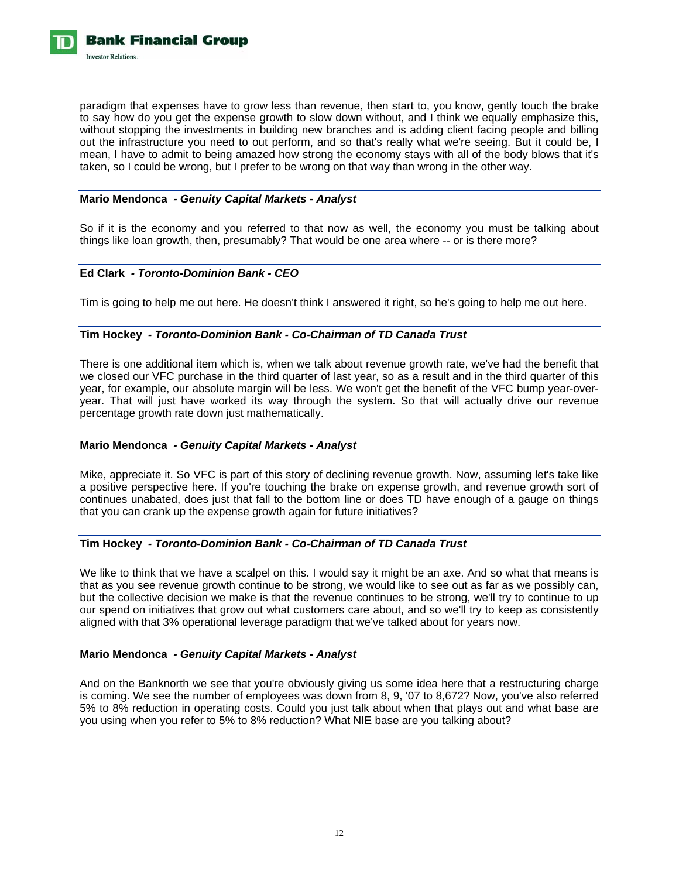

paradigm that expenses have to grow less than revenue, then start to, you know, gently touch the brake to say how do you get the expense growth to slow down without, and I think we equally emphasize this, without stopping the investments in building new branches and is adding client facing people and billing out the infrastructure you need to out perform, and so that's really what we're seeing. But it could be, I mean, I have to admit to being amazed how strong the economy stays with all of the body blows that it's taken, so I could be wrong, but I prefer to be wrong on that way than wrong in the other way.

# **Mario Mendonca** *- Genuity Capital Markets - Analyst*

So if it is the economy and you referred to that now as well, the economy you must be talking about things like loan growth, then, presumably? That would be one area where -- or is there more?

## **Ed Clark** *- Toronto-Dominion Bank - CEO*

Tim is going to help me out here. He doesn't think I answered it right, so he's going to help me out here.

## **Tim Hockey** *- Toronto-Dominion Bank - Co-Chairman of TD Canada Trust*

There is one additional item which is, when we talk about revenue growth rate, we've had the benefit that we closed our VFC purchase in the third quarter of last year, so as a result and in the third quarter of this year, for example, our absolute margin will be less. We won't get the benefit of the VFC bump year-overyear. That will just have worked its way through the system. So that will actually drive our revenue percentage growth rate down just mathematically.

#### **Mario Mendonca** *- Genuity Capital Markets - Analyst*

Mike, appreciate it. So VFC is part of this story of declining revenue growth. Now, assuming let's take like a positive perspective here. If you're touching the brake on expense growth, and revenue growth sort of continues unabated, does just that fall to the bottom line or does TD have enough of a gauge on things that you can crank up the expense growth again for future initiatives?

# **Tim Hockey** *- Toronto-Dominion Bank - Co-Chairman of TD Canada Trust*

We like to think that we have a scalpel on this. I would say it might be an axe. And so what that means is that as you see revenue growth continue to be strong, we would like to see out as far as we possibly can, but the collective decision we make is that the revenue continues to be strong, we'll try to continue to up our spend on initiatives that grow out what customers care about, and so we'll try to keep as consistently aligned with that 3% operational leverage paradigm that we've talked about for years now.

#### **Mario Mendonca** *- Genuity Capital Markets - Analyst*

And on the Banknorth we see that you're obviously giving us some idea here that a restructuring charge is coming. We see the number of employees was down from 8, 9, '07 to 8,672? Now, you've also referred 5% to 8% reduction in operating costs. Could you just talk about when that plays out and what base are you using when you refer to 5% to 8% reduction? What NIE base are you talking about?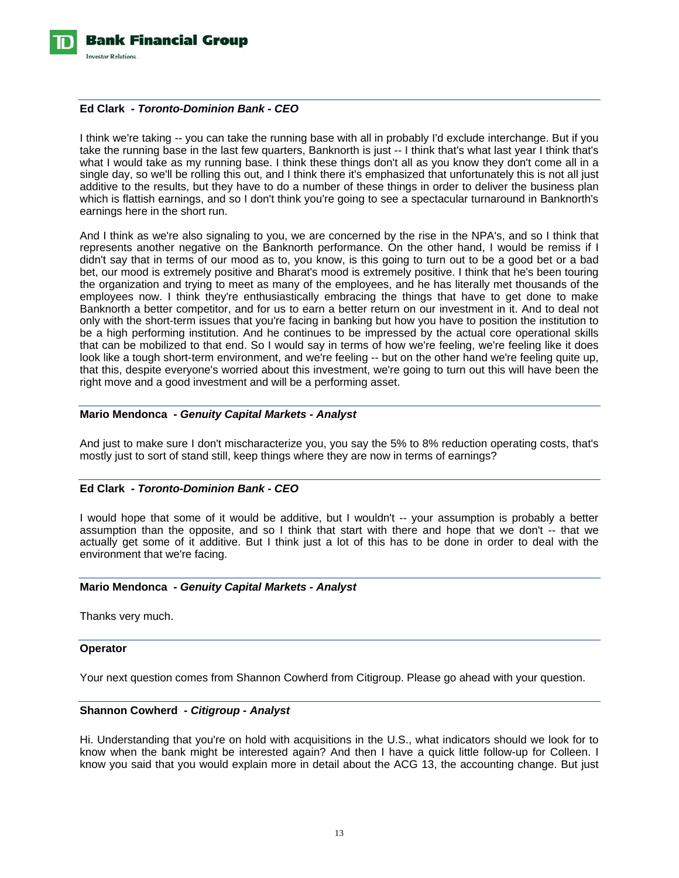

#### **Ed Clark** *- Toronto-Dominion Bank - CEO*

I think we're taking -- you can take the running base with all in probably I'd exclude interchange. But if you take the running base in the last few quarters, Banknorth is just -- I think that's what last year I think that's what I would take as my running base. I think these things don't all as you know they don't come all in a single day, so we'll be rolling this out, and I think there it's emphasized that unfortunately this is not all just additive to the results, but they have to do a number of these things in order to deliver the business plan which is flattish earnings, and so I don't think you're going to see a spectacular turnaround in Banknorth's earnings here in the short run.

And I think as we're also signaling to you, we are concerned by the rise in the NPA's, and so I think that represents another negative on the Banknorth performance. On the other hand, I would be remiss if I didn't say that in terms of our mood as to, you know, is this going to turn out to be a good bet or a bad bet, our mood is extremely positive and Bharat's mood is extremely positive. I think that he's been touring the organization and trying to meet as many of the employees, and he has literally met thousands of the employees now. I think they're enthusiastically embracing the things that have to get done to make Banknorth a better competitor, and for us to earn a better return on our investment in it. And to deal not only with the short-term issues that you're facing in banking but how you have to position the institution to be a high performing institution. And he continues to be impressed by the actual core operational skills that can be mobilized to that end. So I would say in terms of how we're feeling, we're feeling like it does look like a tough short-term environment, and we're feeling -- but on the other hand we're feeling quite up, that this, despite everyone's worried about this investment, we're going to turn out this will have been the right move and a good investment and will be a performing asset.

## **Mario Mendonca** *- Genuity Capital Markets - Analyst*

And just to make sure I don't mischaracterize you, you say the 5% to 8% reduction operating costs, that's mostly just to sort of stand still, keep things where they are now in terms of earnings?

#### **Ed Clark** *- Toronto-Dominion Bank - CEO*

I would hope that some of it would be additive, but I wouldn't -- your assumption is probably a better assumption than the opposite, and so I think that start with there and hope that we don't -- that we actually get some of it additive. But I think just a lot of this has to be done in order to deal with the environment that we're facing.

#### **Mario Mendonca** *- Genuity Capital Markets - Analyst*

Thanks very much.

#### **Operator**

Your next question comes from Shannon Cowherd from Citigroup. Please go ahead with your question.

#### **Shannon Cowherd** *- Citigroup - Analyst*

Hi. Understanding that you're on hold with acquisitions in the U.S., what indicators should we look for to know when the bank might be interested again? And then I have a quick little follow-up for Colleen. I know you said that you would explain more in detail about the ACG 13, the accounting change. But just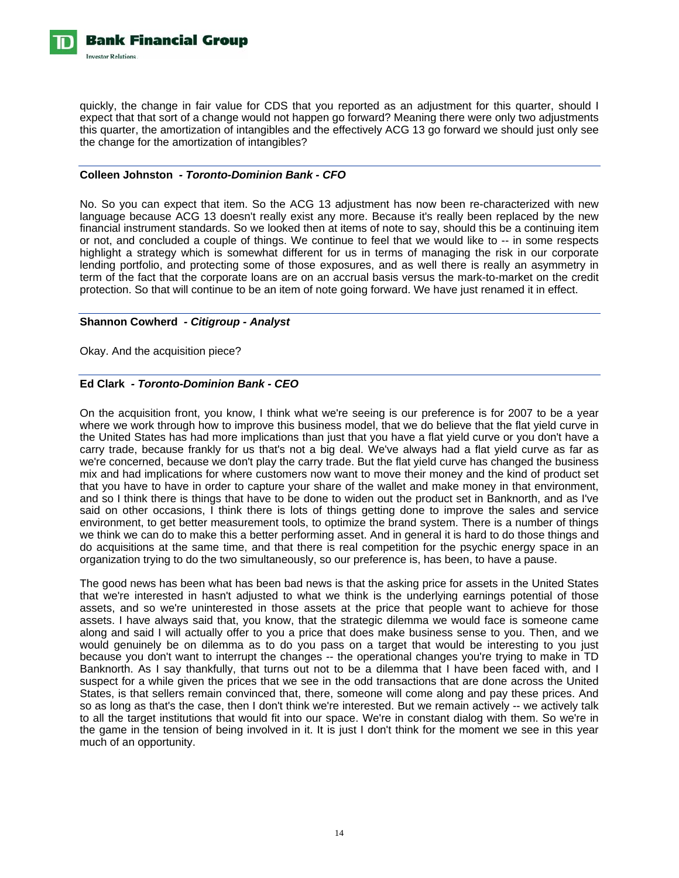

quickly, the change in fair value for CDS that you reported as an adjustment for this quarter, should I expect that that sort of a change would not happen go forward? Meaning there were only two adjustments this quarter, the amortization of intangibles and the effectively ACG 13 go forward we should just only see the change for the amortization of intangibles?

## **Colleen Johnston** *- Toronto-Dominion Bank - CFO*

No. So you can expect that item. So the ACG 13 adjustment has now been re-characterized with new language because ACG 13 doesn't really exist any more. Because it's really been replaced by the new financial instrument standards. So we looked then at items of note to say, should this be a continuing item or not, and concluded a couple of things. We continue to feel that we would like to -- in some respects highlight a strategy which is somewhat different for us in terms of managing the risk in our corporate lending portfolio, and protecting some of those exposures, and as well there is really an asymmetry in term of the fact that the corporate loans are on an accrual basis versus the mark-to-market on the credit protection. So that will continue to be an item of note going forward. We have just renamed it in effect.

## **Shannon Cowherd** *- Citigroup - Analyst*

Okay. And the acquisition piece?

# **Ed Clark** *- Toronto-Dominion Bank - CEO*

On the acquisition front, you know, I think what we're seeing is our preference is for 2007 to be a year where we work through how to improve this business model, that we do believe that the flat yield curve in the United States has had more implications than just that you have a flat yield curve or you don't have a carry trade, because frankly for us that's not a big deal. We've always had a flat yield curve as far as we're concerned, because we don't play the carry trade. But the flat yield curve has changed the business mix and had implications for where customers now want to move their money and the kind of product set that you have to have in order to capture your share of the wallet and make money in that environment, and so I think there is things that have to be done to widen out the product set in Banknorth, and as I've said on other occasions, I think there is lots of things getting done to improve the sales and service environment, to get better measurement tools, to optimize the brand system. There is a number of things we think we can do to make this a better performing asset. And in general it is hard to do those things and do acquisitions at the same time, and that there is real competition for the psychic energy space in an organization trying to do the two simultaneously, so our preference is, has been, to have a pause.

The good news has been what has been bad news is that the asking price for assets in the United States that we're interested in hasn't adjusted to what we think is the underlying earnings potential of those assets, and so we're uninterested in those assets at the price that people want to achieve for those assets. I have always said that, you know, that the strategic dilemma we would face is someone came along and said I will actually offer to you a price that does make business sense to you. Then, and we would genuinely be on dilemma as to do you pass on a target that would be interesting to you just because you don't want to interrupt the changes -- the operational changes you're trying to make in TD Banknorth. As I say thankfully, that turns out not to be a dilemma that I have been faced with, and I suspect for a while given the prices that we see in the odd transactions that are done across the United States, is that sellers remain convinced that, there, someone will come along and pay these prices. And so as long as that's the case, then I don't think we're interested. But we remain actively -- we actively talk to all the target institutions that would fit into our space. We're in constant dialog with them. So we're in the game in the tension of being involved in it. It is just I don't think for the moment we see in this year much of an opportunity.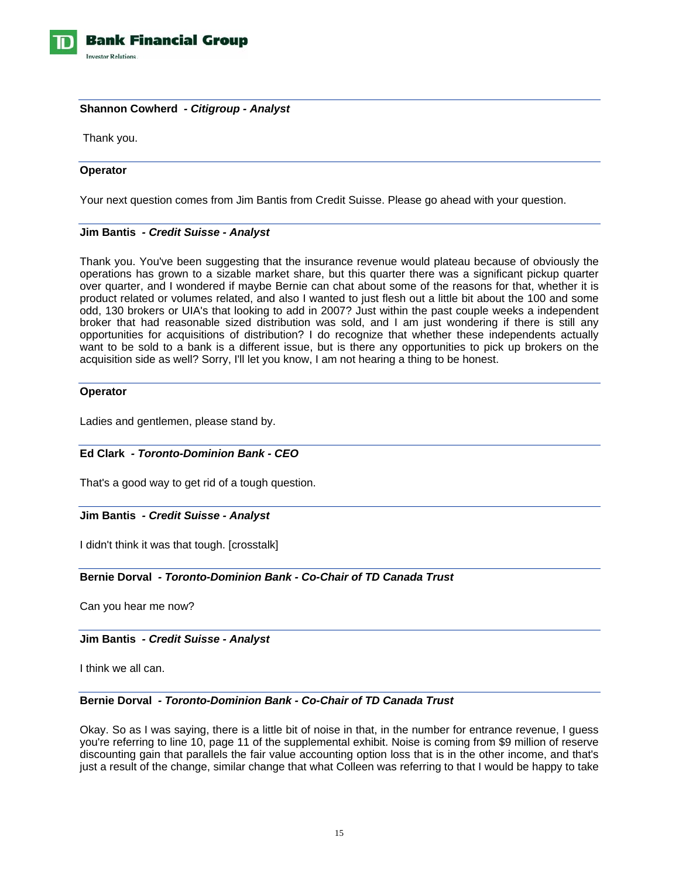

# **Shannon Cowherd** *- Citigroup - Analyst*

Thank you.

## **Operator**

Your next question comes from Jim Bantis from Credit Suisse. Please go ahead with your question.

# **Jim Bantis** *- Credit Suisse - Analyst*

Thank you. You've been suggesting that the insurance revenue would plateau because of obviously the operations has grown to a sizable market share, but this quarter there was a significant pickup quarter over quarter, and I wondered if maybe Bernie can chat about some of the reasons for that, whether it is product related or volumes related, and also I wanted to just flesh out a little bit about the 100 and some odd, 130 brokers or UIA's that looking to add in 2007? Just within the past couple weeks a independent broker that had reasonable sized distribution was sold, and I am just wondering if there is still any opportunities for acquisitions of distribution? I do recognize that whether these independents actually want to be sold to a bank is a different issue, but is there any opportunities to pick up brokers on the acquisition side as well? Sorry, I'll let you know, I am not hearing a thing to be honest.

## **Operator**

Ladies and gentlemen, please stand by.

# **Ed Clark** *- Toronto-Dominion Bank - CEO*

That's a good way to get rid of a tough question.

#### **Jim Bantis** *- Credit Suisse - Analyst*

I didn't think it was that tough. [crosstalk]

# **Bernie Dorval** *- Toronto-Dominion Bank - Co-Chair of TD Canada Trust*

Can you hear me now?

#### **Jim Bantis** *- Credit Suisse - Analyst*

I think we all can.

#### **Bernie Dorval** *- Toronto-Dominion Bank - Co-Chair of TD Canada Trust*

Okay. So as I was saying, there is a little bit of noise in that, in the number for entrance revenue, I guess you're referring to line 10, page 11 of the supplemental exhibit. Noise is coming from \$9 million of reserve discounting gain that parallels the fair value accounting option loss that is in the other income, and that's just a result of the change, similar change that what Colleen was referring to that I would be happy to take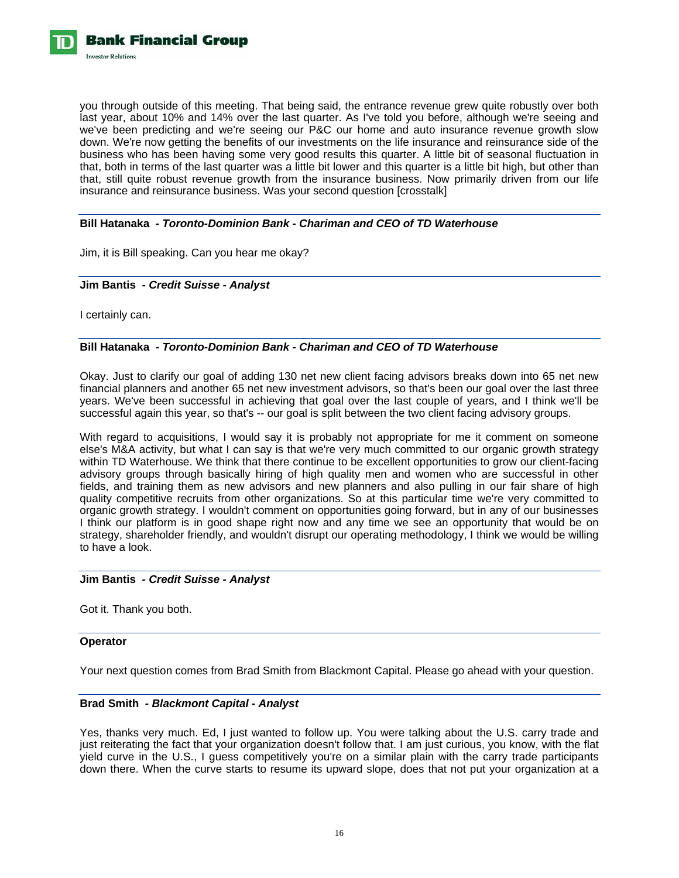

you through outside of this meeting. That being said, the entrance revenue grew quite robustly over both last year, about 10% and 14% over the last quarter. As I've told you before, although we're seeing and we've been predicting and we're seeing our P&C our home and auto insurance revenue growth slow down. We're now getting the benefits of our investments on the life insurance and reinsurance side of the business who has been having some very good results this quarter. A little bit of seasonal fluctuation in that, both in terms of the last quarter was a little bit lower and this quarter is a little bit high, but other than that, still quite robust revenue growth from the insurance business. Now primarily driven from our life insurance and reinsurance business. Was your second question [crosstalk]

# **Bill Hatanaka** *- Toronto-Dominion Bank - Chariman and CEO of TD Waterhouse*

Jim, it is Bill speaking. Can you hear me okay?

#### **Jim Bantis** *- Credit Suisse - Analyst*

I certainly can.

# **Bill Hatanaka** *- Toronto-Dominion Bank - Chariman and CEO of TD Waterhouse*

Okay. Just to clarify our goal of adding 130 net new client facing advisors breaks down into 65 net new financial planners and another 65 net new investment advisors, so that's been our goal over the last three years. We've been successful in achieving that goal over the last couple of years, and I think we'll be successful again this year, so that's -- our goal is split between the two client facing advisory groups.

With regard to acquisitions, I would say it is probably not appropriate for me it comment on someone else's M&A activity, but what I can say is that we're very much committed to our organic growth strategy within TD Waterhouse. We think that there continue to be excellent opportunities to grow our client-facing advisory groups through basically hiring of high quality men and women who are successful in other fields, and training them as new advisors and new planners and also pulling in our fair share of high quality competitive recruits from other organizations. So at this particular time we're very committed to organic growth strategy. I wouldn't comment on opportunities going forward, but in any of our businesses I think our platform is in good shape right now and any time we see an opportunity that would be on strategy, shareholder friendly, and wouldn't disrupt our operating methodology, I think we would be willing to have a look.

#### **Jim Bantis** *- Credit Suisse - Analyst*

Got it. Thank you both.

# **Operator**

Your next question comes from Brad Smith from Blackmont Capital. Please go ahead with your question.

#### **Brad Smith** *- Blackmont Capital - Analyst*

Yes, thanks very much. Ed, I just wanted to follow up. You were talking about the U.S. carry trade and just reiterating the fact that your organization doesn't follow that. I am just curious, you know, with the flat yield curve in the U.S., I guess competitively you're on a similar plain with the carry trade participants down there. When the curve starts to resume its upward slope, does that not put your organization at a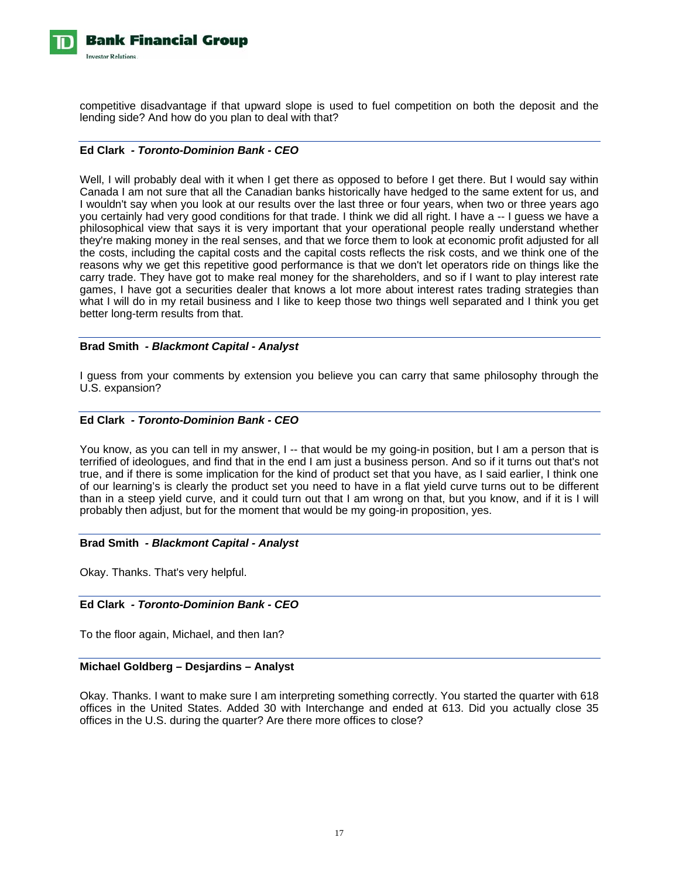

competitive disadvantage if that upward slope is used to fuel competition on both the deposit and the lending side? And how do you plan to deal with that?

# **Ed Clark** *- Toronto-Dominion Bank - CEO*

Well, I will probably deal with it when I get there as opposed to before I get there. But I would say within Canada I am not sure that all the Canadian banks historically have hedged to the same extent for us, and I wouldn't say when you look at our results over the last three or four years, when two or three years ago you certainly had very good conditions for that trade. I think we did all right. I have a -- I guess we have a philosophical view that says it is very important that your operational people really understand whether they're making money in the real senses, and that we force them to look at economic profit adjusted for all the costs, including the capital costs and the capital costs reflects the risk costs, and we think one of the reasons why we get this repetitive good performance is that we don't let operators ride on things like the carry trade. They have got to make real money for the shareholders, and so if I want to play interest rate games, I have got a securities dealer that knows a lot more about interest rates trading strategies than what I will do in my retail business and I like to keep those two things well separated and I think you get better long-term results from that.

# **Brad Smith** *- Blackmont Capital - Analyst*

I guess from your comments by extension you believe you can carry that same philosophy through the U.S. expansion?

# **Ed Clark** *- Toronto-Dominion Bank - CEO*

You know, as you can tell in my answer, I -- that would be my going-in position, but I am a person that is terrified of ideologues, and find that in the end I am just a business person. And so if it turns out that's not true, and if there is some implication for the kind of product set that you have, as I said earlier, I think one of our learning's is clearly the product set you need to have in a flat yield curve turns out to be different than in a steep yield curve, and it could turn out that I am wrong on that, but you know, and if it is I will probably then adjust, but for the moment that would be my going-in proposition, yes.

#### **Brad Smith** *- Blackmont Capital - Analyst*

Okay. Thanks. That's very helpful.

# **Ed Clark** *- Toronto-Dominion Bank - CEO*

To the floor again, Michael, and then Ian?

# **Michael Goldberg – Desjardins – Analyst**

Okay. Thanks. I want to make sure I am interpreting something correctly. You started the quarter with 618 offices in the United States. Added 30 with Interchange and ended at 613. Did you actually close 35 offices in the U.S. during the quarter? Are there more offices to close?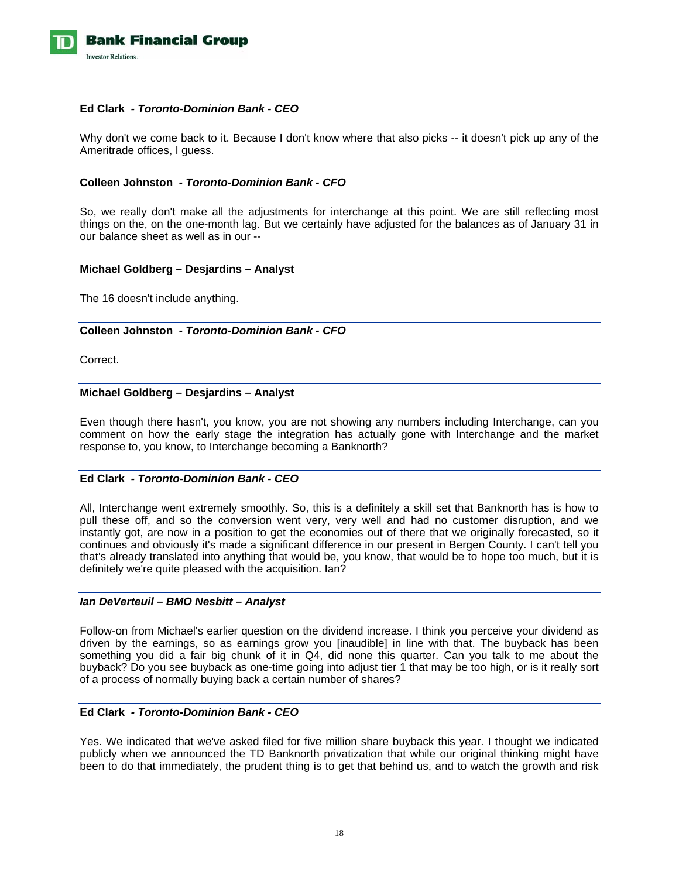

#### **Ed Clark** *- Toronto-Dominion Bank - CEO*

Why don't we come back to it. Because I don't know where that also picks -- it doesn't pick up any of the Ameritrade offices, I guess.

# **Colleen Johnston** *- Toronto-Dominion Bank - CFO*

So, we really don't make all the adjustments for interchange at this point. We are still reflecting most things on the, on the one-month lag. But we certainly have adjusted for the balances as of January 31 in our balance sheet as well as in our --

## **Michael Goldberg – Desjardins – Analyst**

The 16 doesn't include anything.

## **Colleen Johnston** *- Toronto-Dominion Bank - CFO*

Correct.

# **Michael Goldberg – Desjardins – Analyst**

Even though there hasn't, you know, you are not showing any numbers including Interchange, can you comment on how the early stage the integration has actually gone with Interchange and the market response to, you know, to Interchange becoming a Banknorth?

# **Ed Clark** *- Toronto-Dominion Bank - CEO*

All, Interchange went extremely smoothly. So, this is a definitely a skill set that Banknorth has is how to pull these off, and so the conversion went very, very well and had no customer disruption, and we instantly got, are now in a position to get the economies out of there that we originally forecasted, so it continues and obviously it's made a significant difference in our present in Bergen County. I can't tell you that's already translated into anything that would be, you know, that would be to hope too much, but it is definitely we're quite pleased with the acquisition. Ian?

#### *Ian DeVerteuil – BMO Nesbitt – Analyst*

Follow-on from Michael's earlier question on the dividend increase. I think you perceive your dividend as driven by the earnings, so as earnings grow you [inaudible] in line with that. The buyback has been something you did a fair big chunk of it in Q4, did none this quarter. Can you talk to me about the buyback? Do you see buyback as one-time going into adjust tier 1 that may be too high, or is it really sort of a process of normally buying back a certain number of shares?

# **Ed Clark** *- Toronto-Dominion Bank - CEO*

Yes. We indicated that we've asked filed for five million share buyback this year. I thought we indicated publicly when we announced the TD Banknorth privatization that while our original thinking might have been to do that immediately, the prudent thing is to get that behind us, and to watch the growth and risk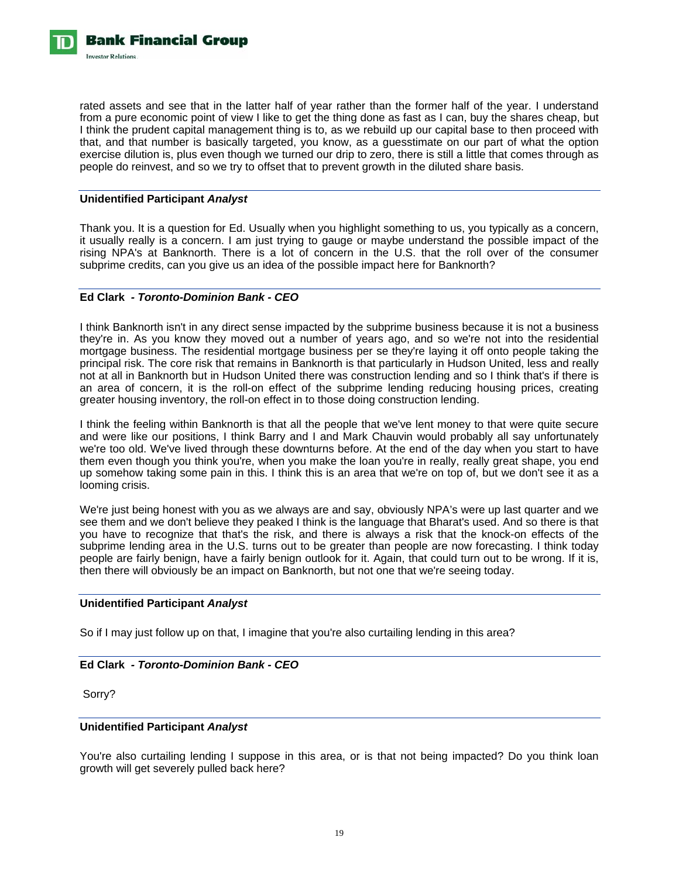

rated assets and see that in the latter half of year rather than the former half of the year. I understand from a pure economic point of view I like to get the thing done as fast as I can, buy the shares cheap, but I think the prudent capital management thing is to, as we rebuild up our capital base to then proceed with that, and that number is basically targeted, you know, as a guesstimate on our part of what the option exercise dilution is, plus even though we turned our drip to zero, there is still a little that comes through as people do reinvest, and so we try to offset that to prevent growth in the diluted share basis.

# **Unidentified Participant** *Analyst*

Thank you. It is a question for Ed. Usually when you highlight something to us, you typically as a concern, it usually really is a concern. I am just trying to gauge or maybe understand the possible impact of the rising NPA's at Banknorth. There is a lot of concern in the U.S. that the roll over of the consumer subprime credits, can you give us an idea of the possible impact here for Banknorth?

## **Ed Clark** *- Toronto-Dominion Bank - CEO*

I think Banknorth isn't in any direct sense impacted by the subprime business because it is not a business they're in. As you know they moved out a number of years ago, and so we're not into the residential mortgage business. The residential mortgage business per se they're laying it off onto people taking the principal risk. The core risk that remains in Banknorth is that particularly in Hudson United, less and really not at all in Banknorth but in Hudson United there was construction lending and so I think that's if there is an area of concern, it is the roll-on effect of the subprime lending reducing housing prices, creating greater housing inventory, the roll-on effect in to those doing construction lending.

I think the feeling within Banknorth is that all the people that we've lent money to that were quite secure and were like our positions, I think Barry and I and Mark Chauvin would probably all say unfortunately we're too old. We've lived through these downturns before. At the end of the day when you start to have them even though you think you're, when you make the loan you're in really, really great shape, you end up somehow taking some pain in this. I think this is an area that we're on top of, but we don't see it as a looming crisis.

We're just being honest with you as we always are and say, obviously NPA's were up last quarter and we see them and we don't believe they peaked I think is the language that Bharat's used. And so there is that you have to recognize that that's the risk, and there is always a risk that the knock-on effects of the subprime lending area in the U.S. turns out to be greater than people are now forecasting. I think today people are fairly benign, have a fairly benign outlook for it. Again, that could turn out to be wrong. If it is, then there will obviously be an impact on Banknorth, but not one that we're seeing today.

# **Unidentified Participant** *Analyst*

So if I may just follow up on that, I imagine that you're also curtailing lending in this area?

# **Ed Clark** *- Toronto-Dominion Bank - CEO*

Sorry?

#### **Unidentified Participant** *Analyst*

You're also curtailing lending I suppose in this area, or is that not being impacted? Do you think loan growth will get severely pulled back here?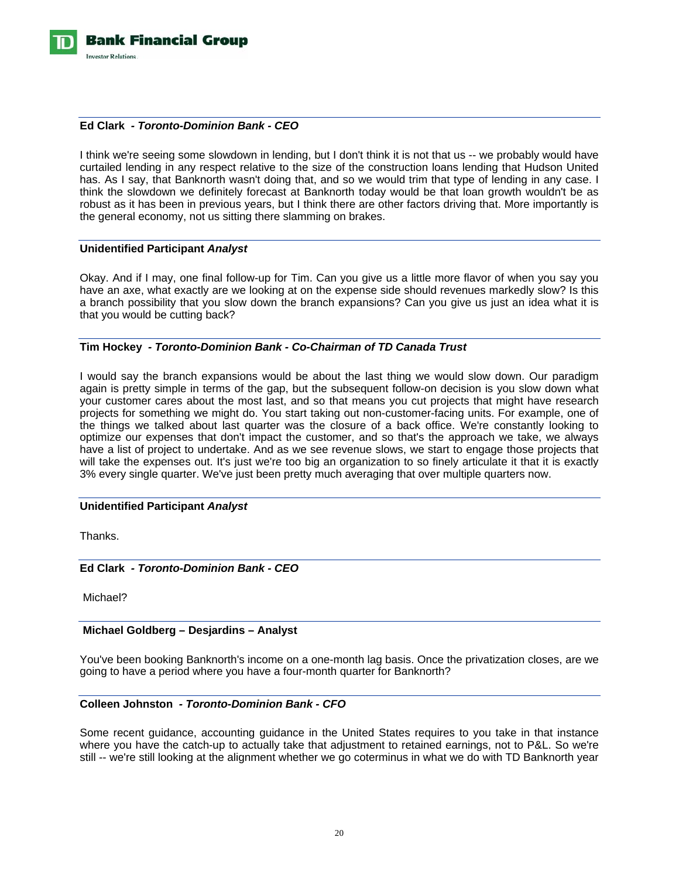

# **Ed Clark** *- Toronto-Dominion Bank - CEO*

I think we're seeing some slowdown in lending, but I don't think it is not that us -- we probably would have curtailed lending in any respect relative to the size of the construction loans lending that Hudson United has. As I say, that Banknorth wasn't doing that, and so we would trim that type of lending in any case. I think the slowdown we definitely forecast at Banknorth today would be that loan growth wouldn't be as robust as it has been in previous years, but I think there are other factors driving that. More importantly is the general economy, not us sitting there slamming on brakes.

#### **Unidentified Participant** *Analyst*

Okay. And if I may, one final follow-up for Tim. Can you give us a little more flavor of when you say you have an axe, what exactly are we looking at on the expense side should revenues markedly slow? Is this a branch possibility that you slow down the branch expansions? Can you give us just an idea what it is that you would be cutting back?

## **Tim Hockey** *- Toronto-Dominion Bank - Co-Chairman of TD Canada Trust*

I would say the branch expansions would be about the last thing we would slow down. Our paradigm again is pretty simple in terms of the gap, but the subsequent follow-on decision is you slow down what your customer cares about the most last, and so that means you cut projects that might have research projects for something we might do. You start taking out non-customer-facing units. For example, one of the things we talked about last quarter was the closure of a back office. We're constantly looking to optimize our expenses that don't impact the customer, and so that's the approach we take, we always have a list of project to undertake. And as we see revenue slows, we start to engage those projects that will take the expenses out. It's just we're too big an organization to so finely articulate it that it is exactly 3% every single quarter. We've just been pretty much averaging that over multiple quarters now.

#### **Unidentified Participant** *Analyst*

Thanks.

**Ed Clark** *- Toronto-Dominion Bank - CEO* 

Michael?

#### **Michael Goldberg – Desjardins – Analyst**

You've been booking Banknorth's income on a one-month lag basis. Once the privatization closes, are we going to have a period where you have a four-month quarter for Banknorth?

# **Colleen Johnston** *- Toronto-Dominion Bank - CFO*

Some recent guidance, accounting guidance in the United States requires to you take in that instance where you have the catch-up to actually take that adjustment to retained earnings, not to P&L. So we're still -- we're still looking at the alignment whether we go coterminus in what we do with TD Banknorth year